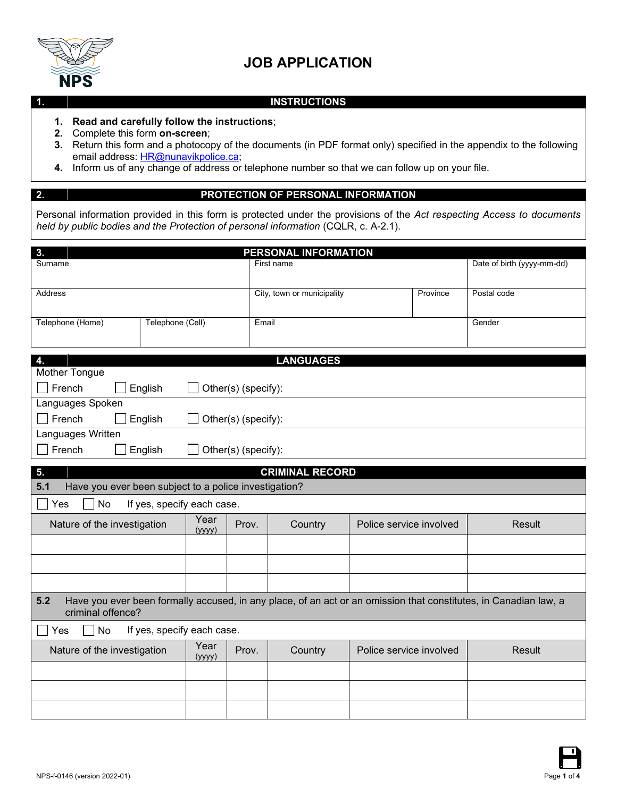

## **JOB APPLICATION**

## **1. INSTRUCTIONS**

- **1. Read and carefully follow the instructions**;
- **2.** Complete this form **on-screen**;
- **3.** Return this form and a photocopy of the documents (in PDF format only) specified in the appendix to the following email address: HR@nunavikpolice.ca;
- **4.** Inform us of any change of address or telephone number so that we can follow up on your file.

## **2. PROTECTION OF PERSONAL INFORMATION**

Personal information provided in this form is protected under the provisions of the *Act respecting Access to documents held by public bodies and the Protection of personal information* (CQLR, c. A-2.1).

| 3.<br>PERSONAL INFORMATION                                                                                                                   |                  |                     |                            |                            |        |  |
|----------------------------------------------------------------------------------------------------------------------------------------------|------------------|---------------------|----------------------------|----------------------------|--------|--|
| Surname                                                                                                                                      |                  |                     | First name                 | Date of birth (yyyy-mm-dd) |        |  |
| Address                                                                                                                                      |                  |                     | City, town or municipality | Postal code                |        |  |
| Telephone (Home)                                                                                                                             | Telephone (Cell) | Email               |                            |                            | Gender |  |
|                                                                                                                                              |                  |                     |                            |                            |        |  |
| 4.<br>Mother Tongue                                                                                                                          |                  |                     | <b>LANGUAGES</b>           |                            |        |  |
| French<br>English<br>Other(s) (specify):                                                                                                     |                  |                     |                            |                            |        |  |
| Languages Spoken                                                                                                                             |                  |                     |                            |                            |        |  |
| $\Box$ French<br>English                                                                                                                     |                  | Other(s) (specify): |                            |                            |        |  |
| Languages Written                                                                                                                            |                  |                     |                            |                            |        |  |
| French<br>English                                                                                                                            |                  | Other(s) (specify): |                            |                            |        |  |
| 5.                                                                                                                                           |                  |                     | <b>CRIMINAL RECORD</b>     |                            |        |  |
| 5.1<br>Have you ever been subject to a police investigation?                                                                                 |                  |                     |                            |                            |        |  |
| If yes, specify each case.<br>No<br>Yes                                                                                                      |                  |                     |                            |                            |        |  |
| Nature of the investigation                                                                                                                  | Year<br>(yyyy)   | Prov.               | Country                    | Police service involved    | Result |  |
|                                                                                                                                              |                  |                     |                            |                            |        |  |
|                                                                                                                                              |                  |                     |                            |                            |        |  |
|                                                                                                                                              |                  |                     |                            |                            |        |  |
| 5.2<br>Have you ever been formally accused, in any place, of an act or an omission that constitutes, in Canadian law, a<br>criminal offence? |                  |                     |                            |                            |        |  |
| If yes, specify each case.<br>No<br>Yes                                                                                                      |                  |                     |                            |                            |        |  |
| Year<br>Nature of the investigation<br>(yyyy)                                                                                                |                  | Prov.               | Country                    | Police service involved    | Result |  |
|                                                                                                                                              |                  |                     |                            |                            |        |  |
|                                                                                                                                              |                  |                     |                            |                            |        |  |
|                                                                                                                                              |                  |                     |                            |                            |        |  |

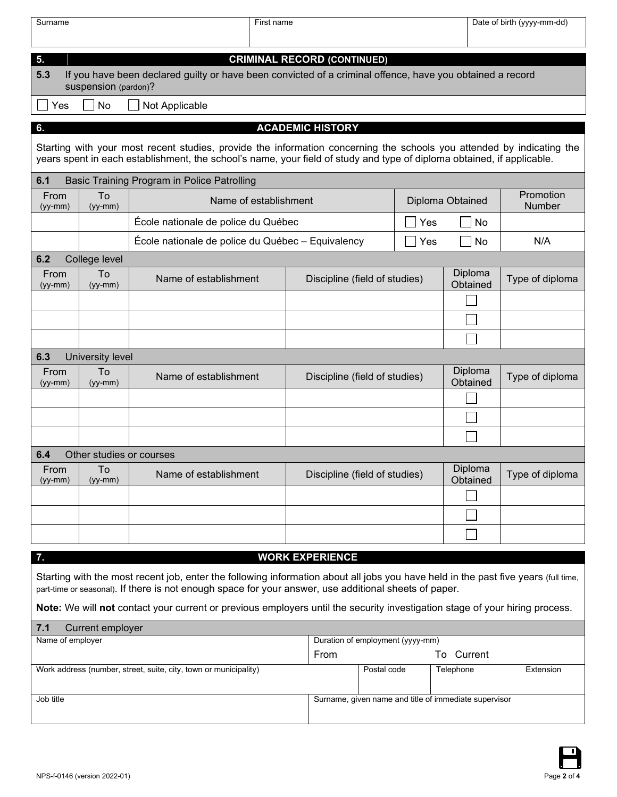| Surname                                                                                                                                                                                                                                         |                          | First name                                                                                                |                                    |                     | Date of birth (yyyy-mm-dd) |                     |  |
|-------------------------------------------------------------------------------------------------------------------------------------------------------------------------------------------------------------------------------------------------|--------------------------|-----------------------------------------------------------------------------------------------------------|------------------------------------|---------------------|----------------------------|---------------------|--|
| 5.                                                                                                                                                                                                                                              |                          |                                                                                                           | <b>CRIMINAL RECORD (CONTINUED)</b> |                     |                            |                     |  |
| 5.3                                                                                                                                                                                                                                             |                          | If you have been declared guilty or have been convicted of a criminal offence, have you obtained a record |                                    |                     |                            |                     |  |
|                                                                                                                                                                                                                                                 | suspension (pardon)?     |                                                                                                           |                                    |                     |                            |                     |  |
| Yes                                                                                                                                                                                                                                             | No                       | Not Applicable                                                                                            |                                    |                     |                            |                     |  |
| 6.                                                                                                                                                                                                                                              |                          |                                                                                                           | <b>ACADEMIC HISTORY</b>            |                     |                            |                     |  |
| Starting with your most recent studies, provide the information concerning the schools you attended by indicating the<br>years spent in each establishment, the school's name, your field of study and type of diploma obtained, if applicable. |                          |                                                                                                           |                                    |                     |                            |                     |  |
| 6.1                                                                                                                                                                                                                                             |                          | Basic Training Program in Police Patrolling                                                               |                                    |                     |                            |                     |  |
| From<br>(yy-mm)                                                                                                                                                                                                                                 | To<br>$(yy-mm)$          | Name of establishment                                                                                     |                                    | Diploma Obtained    |                            | Promotion<br>Number |  |
|                                                                                                                                                                                                                                                 |                          | École nationale de police du Québec                                                                       |                                    | Yes                 | No                         |                     |  |
|                                                                                                                                                                                                                                                 |                          | École nationale de police du Québec - Equivalency                                                         |                                    | Yes                 | No                         | N/A                 |  |
| 6.2                                                                                                                                                                                                                                             | College level            |                                                                                                           |                                    |                     |                            |                     |  |
| From<br>(yy-mm)                                                                                                                                                                                                                                 | To<br>$(yy-mm)$          | Name of establishment                                                                                     | Discipline (field of studies)      |                     | Diploma<br>Obtained        | Type of diploma     |  |
|                                                                                                                                                                                                                                                 |                          |                                                                                                           |                                    |                     |                            |                     |  |
|                                                                                                                                                                                                                                                 |                          |                                                                                                           |                                    |                     |                            |                     |  |
|                                                                                                                                                                                                                                                 |                          |                                                                                                           |                                    |                     |                            |                     |  |
| 6.3                                                                                                                                                                                                                                             | University level         |                                                                                                           |                                    |                     |                            |                     |  |
| From<br>$(yy-mm)$                                                                                                                                                                                                                               | To<br>$(yy-mm)$          | Name of establishment                                                                                     | Discipline (field of studies)      | Diploma<br>Obtained | Type of diploma            |                     |  |
|                                                                                                                                                                                                                                                 |                          |                                                                                                           |                                    |                     |                            |                     |  |
|                                                                                                                                                                                                                                                 |                          |                                                                                                           |                                    |                     |                            |                     |  |
|                                                                                                                                                                                                                                                 |                          |                                                                                                           |                                    |                     |                            |                     |  |
| 6.4                                                                                                                                                                                                                                             | Other studies or courses |                                                                                                           |                                    |                     |                            |                     |  |
| From<br>(yy-mm)                                                                                                                                                                                                                                 | To<br>$(yy-mm)$          | Name of establishment                                                                                     | Discipline (field of studies)      |                     | Diploma<br>Obtained        | Type of diploma     |  |
|                                                                                                                                                                                                                                                 |                          |                                                                                                           |                                    |                     |                            |                     |  |
|                                                                                                                                                                                                                                                 |                          |                                                                                                           |                                    |                     |                            |                     |  |
|                                                                                                                                                                                                                                                 |                          |                                                                                                           |                                    |                     |                            |                     |  |
| <b>WORK EXPERIENCE</b><br>7.                                                                                                                                                                                                                    |                          |                                                                                                           |                                    |                     |                            |                     |  |
| Starting with the most recent job, enter the following information about all jobs you have held in the past five years (full time,<br>part-time or seasonal). If there is not enough space for your answer, use additional sheets of paper.     |                          |                                                                                                           |                                    |                     |                            |                     |  |
| Note: We will not contact your current or previous employers until the security investigation stage of your hiring process.                                                                                                                     |                          |                                                                                                           |                                    |                     |                            |                     |  |
| 7.1<br><b>Current employer</b>                                                                                                                                                                                                                  |                          |                                                                                                           |                                    |                     |                            |                     |  |

| Name of employer                                                 | Duration of employment (yyyy-mm) |             |                                                       |           |
|------------------------------------------------------------------|----------------------------------|-------------|-------------------------------------------------------|-----------|
|                                                                  | From                             |             | To Current                                            |           |
| Work address (number, street, suite, city, town or municipality) |                                  | Postal code | Telephone                                             | Extension |
| Job title                                                        |                                  |             | Surname, given name and title of immediate supervisor |           |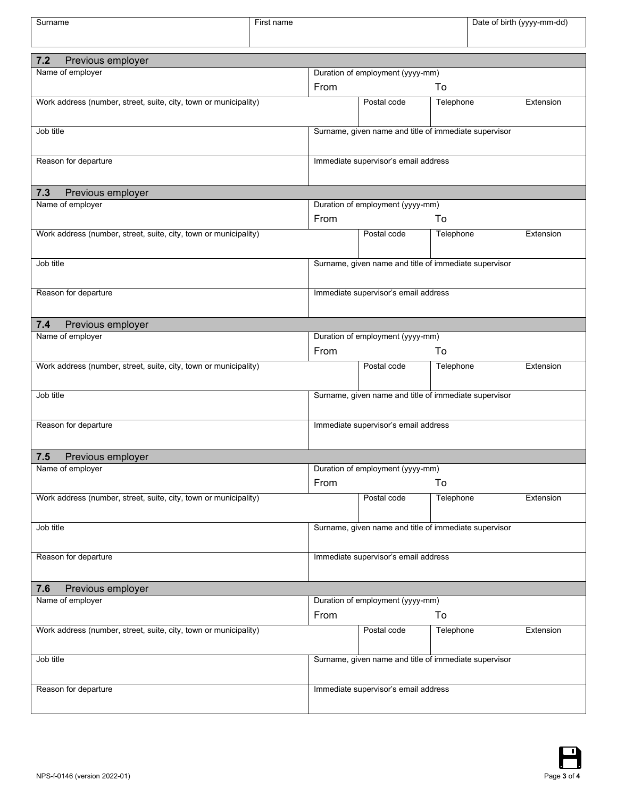| Surname                                                          | First name |                                      |                                                       |           |  | Date of birth (yyyy-mm-dd) |
|------------------------------------------------------------------|------------|--------------------------------------|-------------------------------------------------------|-----------|--|----------------------------|
|                                                                  |            |                                      |                                                       |           |  |                            |
| 7.2<br>Previous employer                                         |            |                                      |                                                       |           |  |                            |
| Name of employer                                                 |            | From                                 | Duration of employment (yyyy-mm)                      | To        |  |                            |
| Work address (number, street, suite, city, town or municipality) |            |                                      | Postal code                                           | Telephone |  | Extension                  |
|                                                                  |            |                                      |                                                       |           |  |                            |
| Job title                                                        |            |                                      | Surname, given name and title of immediate supervisor |           |  |                            |
| Reason for departure                                             |            |                                      | Immediate supervisor's email address                  |           |  |                            |
| 7.3<br>Previous employer                                         |            |                                      |                                                       |           |  |                            |
| Name of employer                                                 |            |                                      | Duration of employment (yyyy-mm)                      |           |  |                            |
|                                                                  |            | From                                 |                                                       | To        |  |                            |
| Work address (number, street, suite, city, town or municipality) |            |                                      | Postal code                                           | Telephone |  | Extension                  |
| Job title                                                        |            |                                      | Surname, given name and title of immediate supervisor |           |  |                            |
| Reason for departure                                             |            | Immediate supervisor's email address |                                                       |           |  |                            |
| 7.4<br>Previous employer                                         |            |                                      |                                                       |           |  |                            |
| Name of employer                                                 |            |                                      | Duration of employment (yyyy-mm)                      |           |  |                            |
|                                                                  |            | From                                 |                                                       | To        |  |                            |
| Work address (number, street, suite, city, town or municipality) |            |                                      | Postal code                                           | Telephone |  | Extension                  |
| Job title                                                        |            |                                      | Surname, given name and title of immediate supervisor |           |  |                            |
| Reason for departure                                             |            |                                      | Immediate supervisor's email address                  |           |  |                            |
| 7.5<br>Previous employer                                         |            |                                      |                                                       |           |  |                            |
| Name of employer                                                 |            |                                      | Duration of employment (yyyy-mm)                      |           |  |                            |
|                                                                  |            | From                                 |                                                       | To        |  |                            |
| Work address (number, street, suite, city, town or municipality) |            |                                      | Postal code                                           | Telephone |  | Extension                  |
| Job title                                                        |            |                                      | Surname, given name and title of immediate supervisor |           |  |                            |
| Reason for departure                                             |            | Immediate supervisor's email address |                                                       |           |  |                            |
| 7.6<br>Previous employer                                         |            |                                      |                                                       |           |  |                            |
| Name of employer                                                 |            |                                      | Duration of employment (yyyy-mm)                      |           |  |                            |
|                                                                  |            | From                                 |                                                       | To        |  |                            |
| Work address (number, street, suite, city, town or municipality) |            |                                      | Postal code                                           | Telephone |  | Extension                  |
| Job title                                                        |            |                                      | Surname, given name and title of immediate supervisor |           |  |                            |
| Reason for departure                                             |            |                                      | Immediate supervisor's email address                  |           |  |                            |